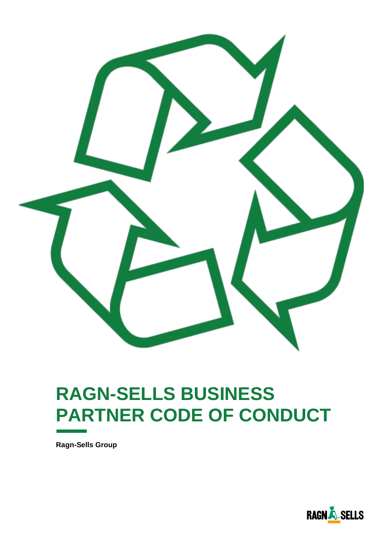

# **RAGN-SELLS BUSINESS PARTNER CODE OF CONDUCT**

**Ragn-Sells Group**

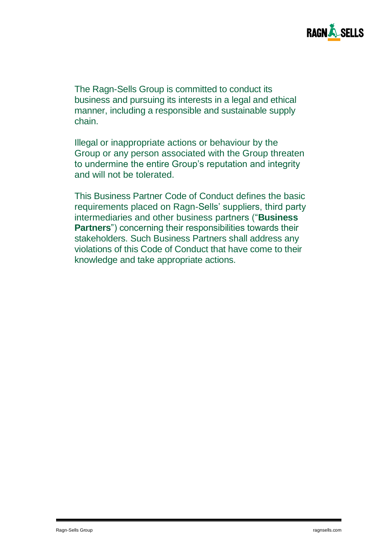

The Ragn-Sells Group is committed to conduct its business and pursuing its interests in a legal and ethical manner, including a responsible and sustainable supply chain.

Illegal or inappropriate actions or behaviour by the Group or any person associated with the Group threaten to undermine the entire Group's reputation and integrity and will not be tolerated.

This Business Partner Code of Conduct defines the basic requirements placed on Ragn-Sells' suppliers, third party intermediaries and other business partners ("**Business Partners**") concerning their responsibilities towards their stakeholders. Such Business Partners shall address any violations of this Code of Conduct that have come to their knowledge and take appropriate actions.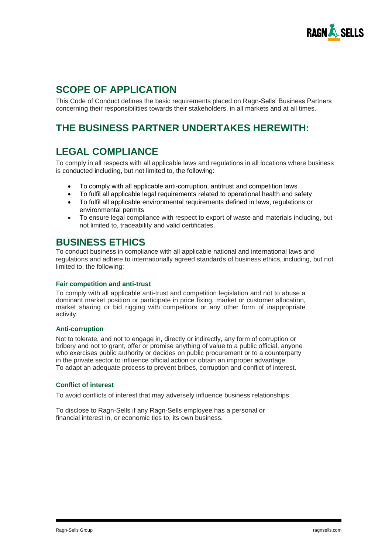

# **SCOPE OF APPLICATION**

This Code of Conduct defines the basic requirements placed on Ragn-Sells' Business Partners concerning their responsibilities towards their stakeholders, in all markets and at all times.

### **THE BUSINESS PARTNER UNDERTAKES HEREWITH:**

### **LEGAL COMPLIANCE**

To comply in all respects with all applicable laws and regulations in all locations where business is conducted including, but not limited to, the following:

- To comply with all applicable anti-corruption, antitrust and competition laws
- To fulfil all applicable legal requirements related to operational health and safety
- To fulfil all applicable environmental requirements defined in laws, regulations or environmental permits
- To ensure legal compliance with respect to export of waste and materials including, but not limited to, traceability and valid certificates.

### **BUSINESS ETHICS**

To conduct business in compliance with all applicable national and international laws and regulations and adhere to internationally agreed standards of business ethics, including, but not limited to, the following:

#### **Fair competition and anti-trust**

To comply with all applicable anti-trust and competition legislation and not to abuse a dominant market position or participate in price fixing, market or customer allocation, market sharing or bid rigging with competitors or any other form of inappropriate activity.

#### **Anti-corruption**

Not to tolerate, and not to engage in, directly or indirectly, any form of corruption or bribery and not to grant, offer or promise anything of value to a public official, anyone who exercises public authority or decides on public procurement or to a counterparty in the private sector to influence official action or obtain an improper advantage. To adapt an adequate process to prevent bribes, corruption and conflict of interest.

#### **Conflict of interest**

To avoid conflicts of interest that may adversely influence business relationships.

To disclose to Ragn-Sells if any Ragn-Sells employee has a personal or financial interest in, or economic ties to, its own business.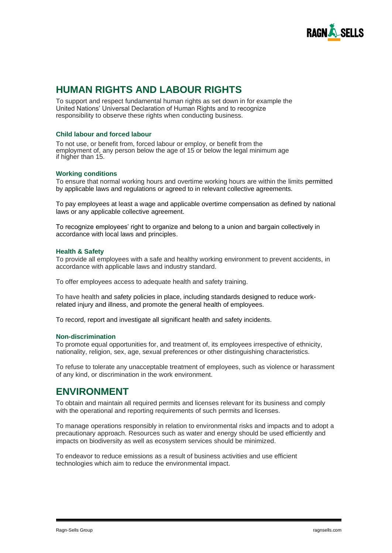

### **HUMAN RIGHTS AND LABOUR RIGHTS**

To support and respect fundamental human rights as set down in for example the United Nations' Universal Declaration of Human Rights and to recognize responsibility to observe these rights when conducting business.

#### **Child labour and forced labour**

To not use, or benefit from, forced labour or employ, or benefit from the employment of, any person below the age of 15 or below the legal minimum age if higher than 15.

#### **Working conditions**

To ensure that normal working hours and overtime working hours are within the limits permitted by applicable laws and regulations or agreed to in relevant collective agreements.

To pay employees at least a wage and applicable overtime compensation as defined by national laws or any applicable collective agreement.

To recognize employees' right to organize and belong to a union and bargain collectively in accordance with local laws and principles.

#### **Health & Safety**

To provide all employees with a safe and healthy working environment to prevent accidents, in accordance with applicable laws and industry standard.

To offer employees access to adequate health and safety training.

To have health and safety policies in place, including standards designed to reduce workrelated injury and illness, and promote the general health of employees.

To record, report and investigate all significant health and safety incidents.

#### **Non-discrimination**

To promote equal opportunities for, and treatment of, its employees irrespective of ethnicity, nationality, religion, sex, age, sexual preferences or other distinguishing characteristics.

To refuse to tolerate any unacceptable treatment of employees, such as violence or harassment of any kind, or discrimination in the work environment.

### **ENVIRONMENT**

To obtain and maintain all required permits and licenses relevant for its business and comply with the operational and reporting requirements of such permits and licenses.

To manage operations responsibly in relation to environmental risks and impacts and to adopt a precautionary approach. Resources such as water and energy should be used efficiently and impacts on biodiversity as well as ecosystem services should be minimized.

To endeavor to reduce emissions as a result of business activities and use efficient technologies which aim to reduce the environmental impact.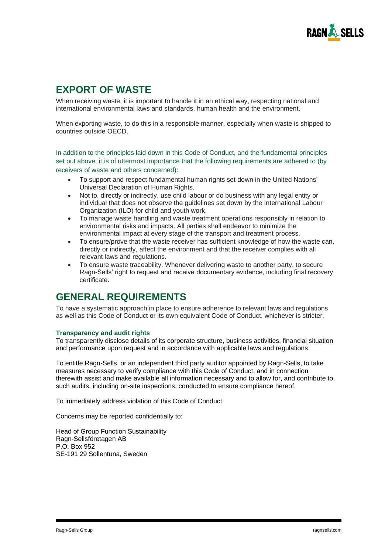

## **EXPORT OF WASTE**

When receiving waste, it is important to handle it in an ethical way, respecting national and international environmental laws and standards, human health and the environment.

When exporting waste, to do this in a responsible manner, especially when waste is shipped to countries outside OECD.

In addition to the principles laid down in this Code of Conduct, and the fundamental principles set out above, it is of uttermost importance that the following requirements are adhered to (by receivers of waste and others concerned):

- To support and respect fundamental human rights set down in the United Nations´ Universal Declaration of Human Rights.
- Not to, directly or indirectly, use child labour or do business with any legal entity or individual that does not observe the guidelines set down by the International Labour Organization (ILO) for child and youth work.
- To manage waste handling and waste treatment operations responsibly in relation to environmental risks and impacts. All parties shall endeavor to minimize the environmental impact at every stage of the transport and treatment process.
- To ensure/prove that the waste receiver has sufficient knowledge of how the waste can, directly or indirectly, affect the environment and that the receiver complies with all relevant laws and regulations.
- To ensure waste traceability. Whenever delivering waste to another party, to secure Ragn-Sells' right to request and receive documentary evidence, including final recovery certificate.

### **GENERAL REQUIREMENTS**

To have a systematic approach in place to ensure adherence to relevant laws and regulations as well as this Code of Conduct or its own equivalent Code of Conduct, whichever is stricter.

#### **Transparency and audit rights**

To transparently disclose details of its corporate structure, business activities, financial situation and performance upon request and in accordance with applicable laws and regulations.

To entitle Ragn-Sells, or an independent third party auditor appointed by Ragn-Sells, to take measures necessary to verify compliance with this Code of Conduct, and in connection therewith assist and make available all information necessary and to allow for, and contribute to, such audits, including on-site inspections, conducted to ensure compliance hereof.

To immediately address violation of this Code of Conduct.

Concerns may be reported confidentially to:

Head of Group Function Sustainability Ragn-Sellsföretagen AB P.O. Box 952 SE-191 29 Sollentuna, Sweden